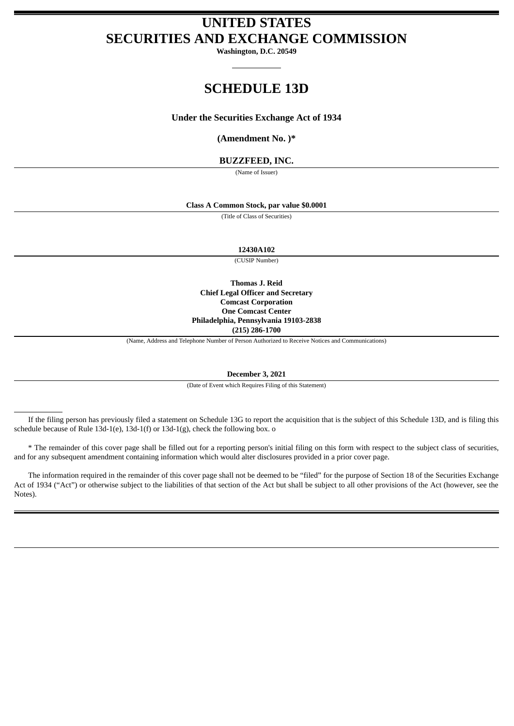# **UNITED STATES SECURITIES AND EXCHANGE COMMISSION**

**Washington, D.C. 20549**

# **SCHEDULE 13D**

# **Under the Securities Exchange Act of 1934**

**(Amendment No. )\***

# **BUZZFEED, INC.**

(Name of Issuer)

### **Class A Common Stock, par value \$0.0001**

(Title of Class of Securities)

**12430A102**

(CUSIP Number)

**Thomas J. Reid Chief Legal Officer and Secretary Comcast Corporation One Comcast Center Philadelphia, Pennsylvania 19103-2838 (215) 286-1700**

(Name, Address and Telephone Number of Person Authorized to Receive Notices and Communications)

**December 3, 2021**

(Date of Event which Requires Filing of this Statement)

If the filing person has previously filed a statement on Schedule 13G to report the acquisition that is the subject of this Schedule 13D, and is filing this schedule because of Rule 13d-1(e), 13d-1(f) or 13d-1(g), check the following box. o

\* The remainder of this cover page shall be filled out for a reporting person's initial filing on this form with respect to the subject class of securities, and for any subsequent amendment containing information which would alter disclosures provided in a prior cover page.

The information required in the remainder of this cover page shall not be deemed to be "filed" for the purpose of Section 18 of the Securities Exchange Act of 1934 ("Act") or otherwise subject to the liabilities of that section of the Act but shall be subject to all other provisions of the Act (however, see the Notes).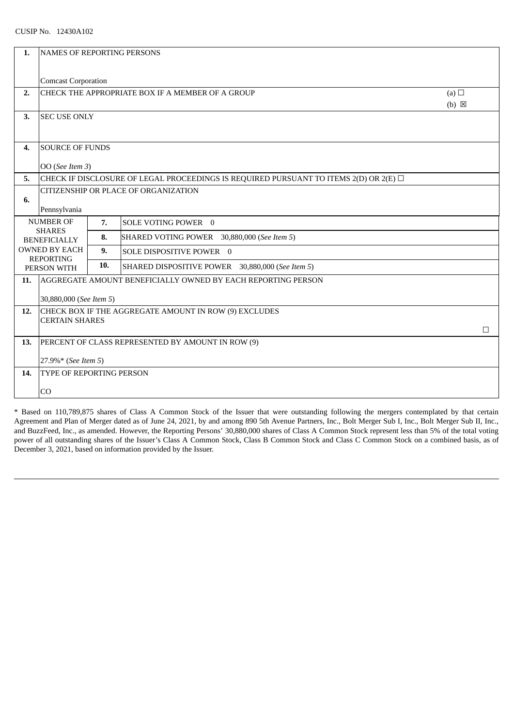| 1.                                   | <b>NAMES OF REPORTING PERSONS</b>                                                                 |     |                                                              |   |
|--------------------------------------|---------------------------------------------------------------------------------------------------|-----|--------------------------------------------------------------|---|
|                                      | <b>Comcast Corporation</b>                                                                        |     |                                                              |   |
| 2.                                   | CHECK THE APPROPRIATE BOX IF A MEMBER OF A GROUP<br>(a)                                           |     |                                                              |   |
| 3.                                   | $(b) \boxtimes$<br><b>SEC USE ONLY</b>                                                            |     |                                                              |   |
|                                      |                                                                                                   |     |                                                              |   |
| 4.                                   | <b>SOURCE OF FUNDS</b>                                                                            |     |                                                              |   |
|                                      | OO (See Item 3)                                                                                   |     |                                                              |   |
| 5.                                   | CHECK IF DISCLOSURE OF LEGAL PROCEEDINGS IS REQUIRED PURSUANT TO ITEMS $2(D)$ OR $2(E)$ $\square$ |     |                                                              |   |
| CITIZENSHIP OR PLACE OF ORGANIZATION |                                                                                                   |     |                                                              |   |
| 6.                                   | Pennsylvania                                                                                      |     |                                                              |   |
|                                      | <b>NUMBER OF</b>                                                                                  | 7.  | SOLE VOTING POWER 0                                          |   |
|                                      | <b>SHARES</b><br><b>BENEFICIALLY</b>                                                              | 8.  | SHARED VOTING POWER 30,880,000 (See Item 5)                  |   |
|                                      | <b>OWNED BY EACH</b><br><b>REPORTING</b>                                                          |     | SOLE DISPOSITIVE POWER 0                                     |   |
|                                      | PERSON WITH                                                                                       | 10. | SHARED DISPOSITIVE POWER 30,880,000 (See Item 5)             |   |
| 11.                                  |                                                                                                   |     | AGGREGATE AMOUNT BENEFICIALLY OWNED BY EACH REPORTING PERSON |   |
|                                      | 30,880,000 (See Item 5)                                                                           |     |                                                              |   |
| 12.                                  | CHECK BOX IF THE AGGREGATE AMOUNT IN ROW (9) EXCLUDES                                             |     |                                                              |   |
|                                      | <b>CERTAIN SHARES</b>                                                                             |     |                                                              | П |
| 13.                                  | PERCENT OF CLASS REPRESENTED BY AMOUNT IN ROW (9)                                                 |     |                                                              |   |
|                                      | 27.9%* (See Item 5)                                                                               |     |                                                              |   |
| 14.                                  | TYPE OF REPORTING PERSON                                                                          |     |                                                              |   |
|                                      | CO                                                                                                |     |                                                              |   |
|                                      |                                                                                                   |     |                                                              |   |

\* Based on 110,789,875 shares of Class A Common Stock of the Issuer that were outstanding following the mergers contemplated by that certain Agreement and Plan of Merger dated as of June 24, 2021, by and among 890 5th Avenue Partners, Inc., Bolt Merger Sub I, Inc., Bolt Merger Sub II, Inc., and BuzzFeed, Inc., as amended. However, the Reporting Persons' 30,880,000 shares of Class A Common Stock represent less than 5% of the total voting power of all outstanding shares of the Issuer's Class A Common Stock, Class B Common Stock and Class C Common Stock on a combined basis, as of December 3, 2021, based on information provided by the Issuer.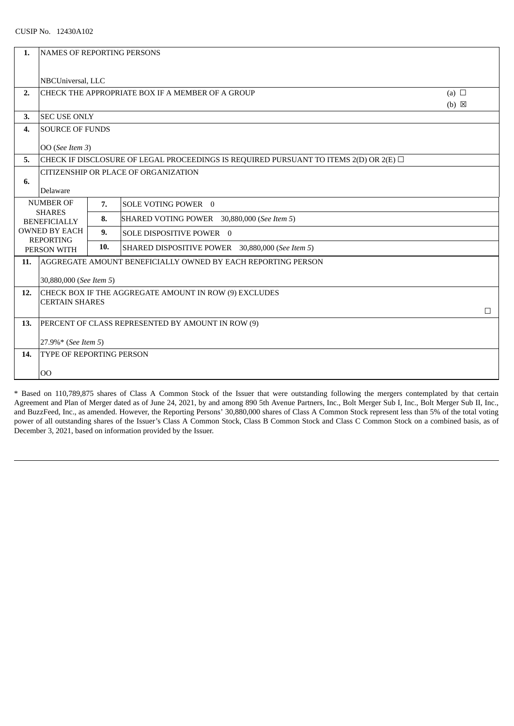| 1.                                   | NAMES OF REPORTING PERSONS                                                                 |     |                                                  |        |
|--------------------------------------|--------------------------------------------------------------------------------------------|-----|--------------------------------------------------|--------|
|                                      | NBCUniversal, LLC                                                                          |     |                                                  |        |
| 2.                                   | CHECK THE APPROPRIATE BOX IF A MEMBER OF A GROUP<br>(a) $\Box$                             |     |                                                  |        |
| 3.                                   | $(b) \boxtimes$<br><b>SEC USE ONLY</b>                                                     |     |                                                  |        |
| 4.                                   | <b>SOURCE OF FUNDS</b>                                                                     |     |                                                  |        |
|                                      | OO (See Item 3)                                                                            |     |                                                  |        |
| 5.                                   | CHECK IF DISCLOSURE OF LEGAL PROCEEDINGS IS REQUIRED PURSUANT TO ITEMS 2(D) OR 2(E) $\Box$ |     |                                                  |        |
| CITIZENSHIP OR PLACE OF ORGANIZATION |                                                                                            |     |                                                  |        |
| 6.                                   | Delaware                                                                                   |     |                                                  |        |
|                                      | <b>NUMBER OF</b>                                                                           | 7.  | SOLE VOTING POWER 0                              |        |
|                                      | <b>SHARES</b><br><b>BENEFICIALLY</b><br><b>OWNED BY EACH</b>                               |     | SHARED VOTING POWER 30,880,000 (See Item 5)      |        |
|                                      |                                                                                            |     | SOLE DISPOSITIVE POWER 0                         |        |
| <b>REPORTING</b><br>PERSON WITH      |                                                                                            | 10. | SHARED DISPOSITIVE POWER 30,880,000 (See Item 5) |        |
| 11.                                  | AGGREGATE AMOUNT BENEFICIALLY OWNED BY EACH REPORTING PERSON                               |     |                                                  |        |
|                                      | 30,880,000 (See Item 5)                                                                    |     |                                                  |        |
| 12.                                  | CHECK BOX IF THE AGGREGATE AMOUNT IN ROW (9) EXCLUDES                                      |     |                                                  |        |
|                                      | <b>CERTAIN SHARES</b>                                                                      |     |                                                  | $\Box$ |
| 13.                                  | PERCENT OF CLASS REPRESENTED BY AMOUNT IN ROW (9)                                          |     |                                                  |        |
|                                      | 27.9%* (See Item 5)                                                                        |     |                                                  |        |
| 14.                                  | <b>TYPE OF REPORTING PERSON</b>                                                            |     |                                                  |        |
|                                      | O <sub>O</sub>                                                                             |     |                                                  |        |
|                                      |                                                                                            |     |                                                  |        |

\* Based on 110,789,875 shares of Class A Common Stock of the Issuer that were outstanding following the mergers contemplated by that certain Agreement and Plan of Merger dated as of June 24, 2021, by and among 890 5th Avenue Partners, Inc., Bolt Merger Sub I, Inc., Bolt Merger Sub II, Inc., and BuzzFeed, Inc., as amended. However, the Reporting Persons' 30,880,000 shares of Class A Common Stock represent less than 5% of the total voting power of all outstanding shares of the Issuer's Class A Common Stock, Class B Common Stock and Class C Common Stock on a combined basis, as of December 3, 2021, based on information provided by the Issuer.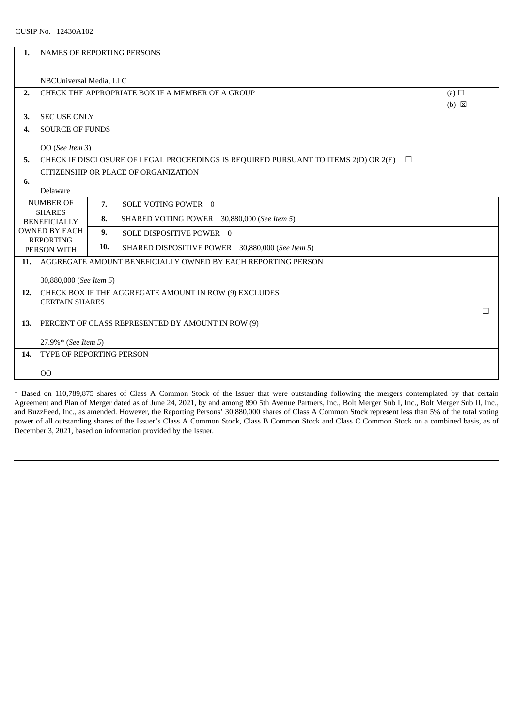| NAMES OF REPORTING PERSONS                                                                    |                                                                                             |                                                    |                                                                 |
|-----------------------------------------------------------------------------------------------|---------------------------------------------------------------------------------------------|----------------------------------------------------|-----------------------------------------------------------------|
|                                                                                               |                                                                                             |                                                    |                                                                 |
| (a) $\Box$<br>CHECK THE APPROPRIATE BOX IF A MEMBER OF A GROUP                                |                                                                                             |                                                    |                                                                 |
| $(b) \boxtimes$                                                                               |                                                                                             |                                                    |                                                                 |
| <b>SOURCE OF FUNDS</b>                                                                        |                                                                                             |                                                    |                                                                 |
| OO (See Item 3)                                                                               |                                                                                             |                                                    |                                                                 |
| CHECK IF DISCLOSURE OF LEGAL PROCEEDINGS IS REQUIRED PURSUANT TO ITEMS 2(D) OR 2(E)<br>$\Box$ |                                                                                             |                                                    |                                                                 |
|                                                                                               |                                                                                             |                                                    |                                                                 |
| 6.<br>Delaware                                                                                |                                                                                             |                                                    |                                                                 |
|                                                                                               | 7.                                                                                          | SOLE VOTING POWER 0                                |                                                                 |
|                                                                                               | 8.                                                                                          | SHARED VOTING POWER 30,880,000 (See Item 5)        |                                                                 |
| <b>OWNED BY EACH</b>                                                                          |                                                                                             | SOLE DISPOSITIVE POWER 0                           |                                                                 |
|                                                                                               | 10.                                                                                         | SHARED DISPOSITIVE POWER 30,880,000 (See Item 5)   |                                                                 |
| AGGREGATE AMOUNT BENEFICIALLY OWNED BY EACH REPORTING PERSON                                  |                                                                                             |                                                    |                                                                 |
| 30,880,000 (See Item 5)                                                                       |                                                                                             |                                                    |                                                                 |
| CHECK BOX IF THE AGGREGATE AMOUNT IN ROW (9) EXCLUDES<br>12.                                  |                                                                                             |                                                    |                                                                 |
|                                                                                               |                                                                                             |                                                    | $\Box$                                                          |
| PERCENT OF CLASS REPRESENTED BY AMOUNT IN ROW (9)                                             |                                                                                             |                                                    |                                                                 |
| 27.9%* (See Item 5)                                                                           |                                                                                             |                                                    |                                                                 |
| <b>TYPE OF REPORTING PERSON</b>                                                               |                                                                                             |                                                    |                                                                 |
| 00                                                                                            |                                                                                             |                                                    |                                                                 |
|                                                                                               | <b>NUMBER OF</b><br><b>SHARES</b><br><b>BENEFICIALLY</b><br><b>REPORTING</b><br>PERSON WITH | <b>SEC USE ONLY</b><br>9.<br><b>CERTAIN SHARES</b> | NBCUniversal Media, LLC<br>CITIZENSHIP OR PLACE OF ORGANIZATION |

\* Based on 110,789,875 shares of Class A Common Stock of the Issuer that were outstanding following the mergers contemplated by that certain Agreement and Plan of Merger dated as of June 24, 2021, by and among 890 5th Avenue Partners, Inc., Bolt Merger Sub I, Inc., Bolt Merger Sub II, Inc., and BuzzFeed, Inc., as amended. However, the Reporting Persons' 30,880,000 shares of Class A Common Stock represent less than 5% of the total voting power of all outstanding shares of the Issuer's Class A Common Stock, Class B Common Stock and Class C Common Stock on a combined basis, as of December 3, 2021, based on information provided by the Issuer.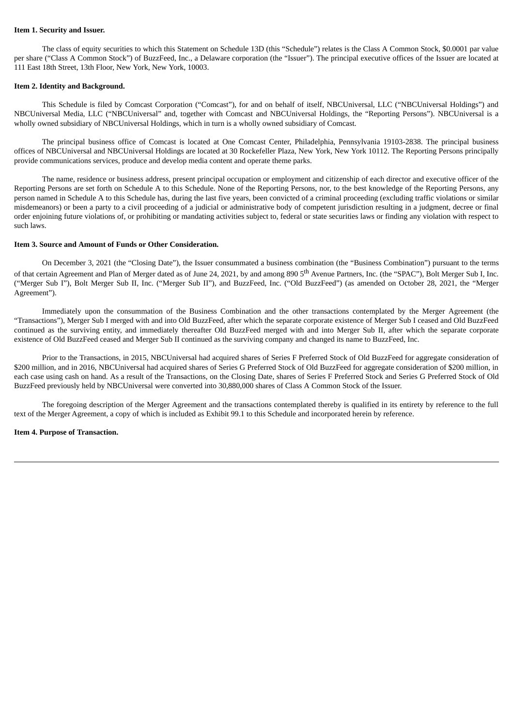#### **Item 1. Security and Issuer.**

The class of equity securities to which this Statement on Schedule 13D (this "Schedule") relates is the Class A Common Stock, \$0.0001 par value per share ("Class A Common Stock") of BuzzFeed, Inc., a Delaware corporation (the "Issuer"). The principal executive offices of the Issuer are located at 111 East 18th Street, 13th Floor, New York, New York, 10003.

#### **Item 2. Identity and Background.**

This Schedule is filed by Comcast Corporation ("Comcast"), for and on behalf of itself, NBCUniversal, LLC ("NBCUniversal Holdings") and NBCUniversal Media, LLC ("NBCUniversal" and, together with Comcast and NBCUniversal Holdings, the "Reporting Persons"). NBCUniversal is a wholly owned subsidiary of NBCUniversal Holdings, which in turn is a wholly owned subsidiary of Comcast.

The principal business office of Comcast is located at One Comcast Center, Philadelphia, Pennsylvania 19103-2838. The principal business offices of NBCUniversal and NBCUniversal Holdings are located at 30 Rockefeller Plaza, New York, New York 10112. The Reporting Persons principally provide communications services, produce and develop media content and operate theme parks.

The name, residence or business address, present principal occupation or employment and citizenship of each director and executive officer of the Reporting Persons are set forth on Schedule A to this Schedule. None of the Reporting Persons, nor, to the best knowledge of the Reporting Persons, any person named in Schedule A to this Schedule has, during the last five years, been convicted of a criminal proceeding (excluding traffic violations or similar misdemeanors) or been a party to a civil proceeding of a judicial or administrative body of competent jurisdiction resulting in a judgment, decree or final order enjoining future violations of, or prohibiting or mandating activities subject to, federal or state securities laws or finding any violation with respect to such laws.

#### **Item 3. Source and Amount of Funds or Other Consideration.**

On December 3, 2021 (the "Closing Date"), the Issuer consummated a business combination (the "Business Combination") pursuant to the terms of that certain Agreement and Plan of Merger dated as of June 24, 2021, by and among 890 5<sup>th</sup> Avenue Partners, Inc. (the "SPAC"), Bolt Merger Sub I, Inc. ("Merger Sub I"), Bolt Merger Sub II, Inc. ("Merger Sub II"), and BuzzFeed, Inc. ("Old BuzzFeed") (as amended on October 28, 2021, the "Merger Agreement").

Immediately upon the consummation of the Business Combination and the other transactions contemplated by the Merger Agreement (the "Transactions"), Merger Sub I merged with and into Old BuzzFeed, after which the separate corporate existence of Merger Sub I ceased and Old BuzzFeed continued as the surviving entity, and immediately thereafter Old BuzzFeed merged with and into Merger Sub II, after which the separate corporate existence of Old BuzzFeed ceased and Merger Sub II continued as the surviving company and changed its name to BuzzFeed, Inc.

Prior to the Transactions, in 2015, NBCUniversal had acquired shares of Series F Preferred Stock of Old BuzzFeed for aggregate consideration of \$200 million, and in 2016, NBCUniversal had acquired shares of Series G Preferred Stock of Old BuzzFeed for aggregate consideration of \$200 million, in each case using cash on hand. As a result of the Transactions, on the Closing Date, shares of Series F Preferred Stock and Series G Preferred Stock of Old BuzzFeed previously held by NBCUniversal were converted into 30,880,000 shares of Class A Common Stock of the Issuer.

The foregoing description of the Merger Agreement and the transactions contemplated thereby is qualified in its entirety by reference to the full text of the Merger Agreement, a copy of which is included as Exhibit 99.1 to this Schedule and incorporated herein by reference.

#### **Item 4. Purpose of Transaction.**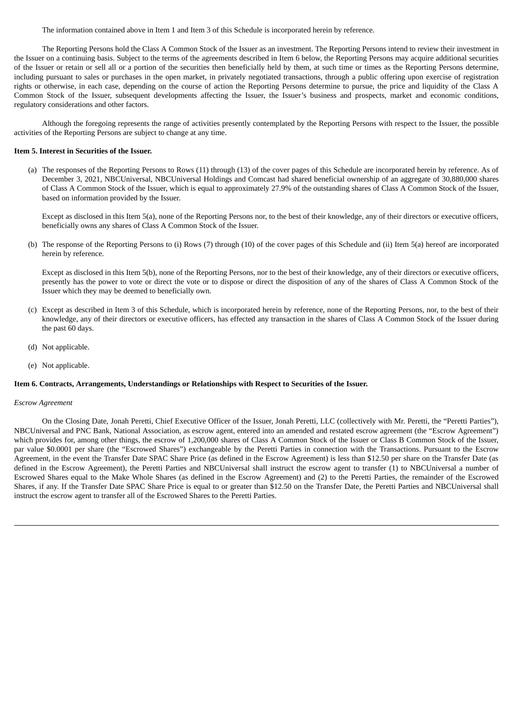The information contained above in Item 1 and Item 3 of this Schedule is incorporated herein by reference.

The Reporting Persons hold the Class A Common Stock of the Issuer as an investment. The Reporting Persons intend to review their investment in the Issuer on a continuing basis. Subject to the terms of the agreements described in Item 6 below, the Reporting Persons may acquire additional securities of the Issuer or retain or sell all or a portion of the securities then beneficially held by them, at such time or times as the Reporting Persons determine, including pursuant to sales or purchases in the open market, in privately negotiated transactions, through a public offering upon exercise of registration rights or otherwise, in each case, depending on the course of action the Reporting Persons determine to pursue, the price and liquidity of the Class A Common Stock of the Issuer, subsequent developments affecting the Issuer, the Issuer's business and prospects, market and economic conditions, regulatory considerations and other factors.

Although the foregoing represents the range of activities presently contemplated by the Reporting Persons with respect to the Issuer, the possible activities of the Reporting Persons are subject to change at any time.

#### **Item 5. Interest in Securities of the Issuer.**

(a) The responses of the Reporting Persons to Rows (11) through (13) of the cover pages of this Schedule are incorporated herein by reference. As of December 3, 2021, NBCUniversal, NBCUniversal Holdings and Comcast had shared beneficial ownership of an aggregate of 30,880,000 shares of Class A Common Stock of the Issuer, which is equal to approximately 27.9% of the outstanding shares of Class A Common Stock of the Issuer, based on information provided by the Issuer.

Except as disclosed in this Item 5(a), none of the Reporting Persons nor, to the best of their knowledge, any of their directors or executive officers, beneficially owns any shares of Class A Common Stock of the Issuer.

(b) The response of the Reporting Persons to (i) Rows (7) through (10) of the cover pages of this Schedule and (ii) Item 5(a) hereof are incorporated herein by reference.

Except as disclosed in this Item 5(b), none of the Reporting Persons, nor to the best of their knowledge, any of their directors or executive officers, presently has the power to vote or direct the vote or to dispose or direct the disposition of any of the shares of Class A Common Stock of the Issuer which they may be deemed to beneficially own.

- (c) Except as described in Item 3 of this Schedule, which is incorporated herein by reference, none of the Reporting Persons, nor, to the best of their knowledge, any of their directors or executive officers, has effected any transaction in the shares of Class A Common Stock of the Issuer during the past 60 days.
- (d) Not applicable.
- (e) Not applicable.

#### **Item 6. Contracts, Arrangements, Understandings or Relationships with Respect to Securities of the Issuer.**

#### *Escrow Agreement*

On the Closing Date, Jonah Peretti, Chief Executive Officer of the Issuer, Jonah Peretti, LLC (collectively with Mr. Peretti, the "Peretti Parties"), NBCUniversal and PNC Bank, National Association, as escrow agent, entered into an amended and restated escrow agreement (the "Escrow Agreement") which provides for, among other things, the escrow of 1,200,000 shares of Class A Common Stock of the Issuer or Class B Common Stock of the Issuer, par value \$0.0001 per share (the "Escrowed Shares") exchangeable by the Peretti Parties in connection with the Transactions. Pursuant to the Escrow Agreement, in the event the Transfer Date SPAC Share Price (as defined in the Escrow Agreement) is less than \$12.50 per share on the Transfer Date (as defined in the Escrow Agreement), the Peretti Parties and NBCUniversal shall instruct the escrow agent to transfer (1) to NBCUniversal a number of Escrowed Shares equal to the Make Whole Shares (as defined in the Escrow Agreement) and (2) to the Peretti Parties, the remainder of the Escrowed Shares, if any. If the Transfer Date SPAC Share Price is equal to or greater than \$12.50 on the Transfer Date, the Peretti Parties and NBCUniversal shall instruct the escrow agent to transfer all of the Escrowed Shares to the Peretti Parties.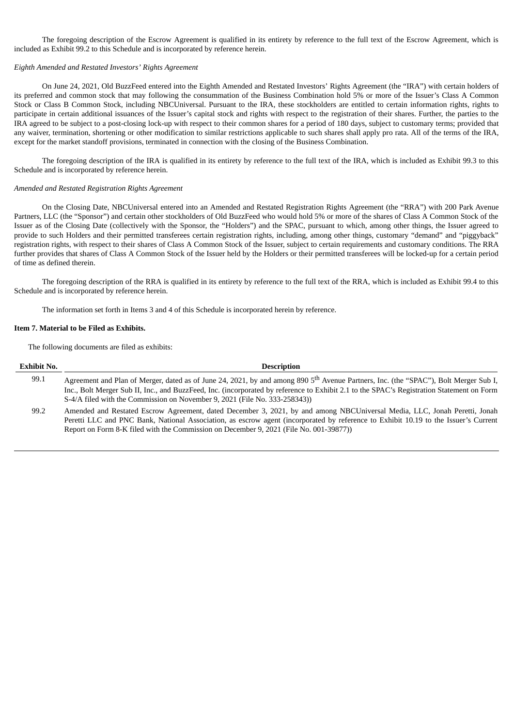The foregoing description of the Escrow Agreement is qualified in its entirety by reference to the full text of the Escrow Agreement, which is included as Exhibit 99.2 to this Schedule and is incorporated by reference herein.

#### *Eighth Amended and Restated Investors' Rights Agreement*

On June 24, 2021, Old BuzzFeed entered into the Eighth Amended and Restated Investors' Rights Agreement (the "IRA") with certain holders of its preferred and common stock that may following the consummation of the Business Combination hold 5% or more of the Issuer's Class A Common Stock or Class B Common Stock, including NBCUniversal. Pursuant to the IRA, these stockholders are entitled to certain information rights, rights to participate in certain additional issuances of the Issuer's capital stock and rights with respect to the registration of their shares. Further, the parties to the IRA agreed to be subject to a post-closing lock-up with respect to their common shares for a period of 180 days, subject to customary terms; provided that any waiver, termination, shortening or other modification to similar restrictions applicable to such shares shall apply pro rata. All of the terms of the IRA, except for the market standoff provisions, terminated in connection with the closing of the Business Combination.

The foregoing description of the IRA is qualified in its entirety by reference to the full text of the IRA, which is included as Exhibit 99.3 to this Schedule and is incorporated by reference herein.

#### *Amended and Restated Registration Rights Agreement*

On the Closing Date, NBCUniversal entered into an Amended and Restated Registration Rights Agreement (the "RRA") with 200 Park Avenue Partners, LLC (the "Sponsor") and certain other stockholders of Old BuzzFeed who would hold 5% or more of the shares of Class A Common Stock of the Issuer as of the Closing Date (collectively with the Sponsor, the "Holders") and the SPAC, pursuant to which, among other things, the Issuer agreed to provide to such Holders and their permitted transferees certain registration rights, including, among other things, customary "demand" and "piggyback" registration rights, with respect to their shares of Class A Common Stock of the Issuer, subject to certain requirements and customary conditions. The RRA further provides that shares of Class A Common Stock of the Issuer held by the Holders or their permitted transferees will be locked-up for a certain period of time as defined therein.

The foregoing description of the RRA is qualified in its entirety by reference to the full text of the RRA, which is included as Exhibit 99.4 to this Schedule and is incorporated by reference herein.

The information set forth in Items 3 and 4 of this Schedule is incorporated herein by reference.

#### **Item 7. Material to be Filed as Exhibits.**

The following documents are filed as exhibits:

| <b>Exhibit No.</b> | <b>Description</b>                                                                                                                                                                                                                                                                                                                                                          |
|--------------------|-----------------------------------------------------------------------------------------------------------------------------------------------------------------------------------------------------------------------------------------------------------------------------------------------------------------------------------------------------------------------------|
| 99.1               | Agreement and Plan of Merger, dated as of June 24, 2021, by and among 890 5 <sup>th</sup> Avenue Partners, Inc. (the "SPAC"), Bolt Merger Sub I,<br>Inc., Bolt Merger Sub II, Inc., and BuzzFeed, Inc. (incorporated by reference to Exhibit 2.1 to the SPAC's Registration Statement on Form<br>S-4/A filed with the Commission on November 9, 2021 (File No. 333-258343)) |
| 99.2               | Amended and Restated Escrow Agreement, dated December 3, 2021, by and among NBCUniversal Media, LLC, Jonah Peretti, Jonah<br>Peretti LLC and PNC Bank, National Association, as escrow agent (incorporated by reference to Exhibit 10.19 to the Issuer's Current<br>Report on Form 8-K filed with the Commission on December 9, 2021 (File No. 001-39877))                  |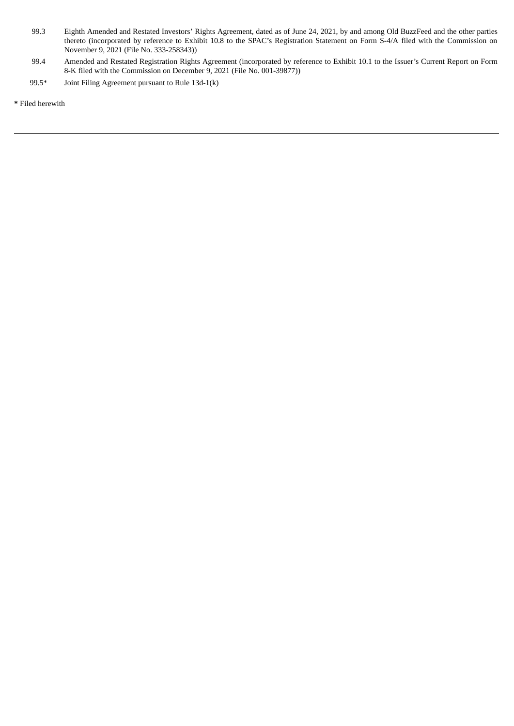- 99.3 Eighth Amended and Restated Investors' Rights Agreement, dated as of June 24, 2021, by and among Old BuzzFeed and the other parties thereto (incorporated by reference to Exhibit 10.8 to the SPAC's Registration Statement on Form S-4/A filed with the Commission on November 9, 2021 (File No. 333-258343))
- 99.4 Amended and Restated Registration Rights Agreement (incorporated by reference to Exhibit 10.1 to the Issuer's Current Report on Form 8-K filed with the Commission on December 9, 2021 (File No. 001-39877))
- 99.5\* Joint Filing Agreement pursuant to Rule 13d-1(k)

**\*** Filed herewith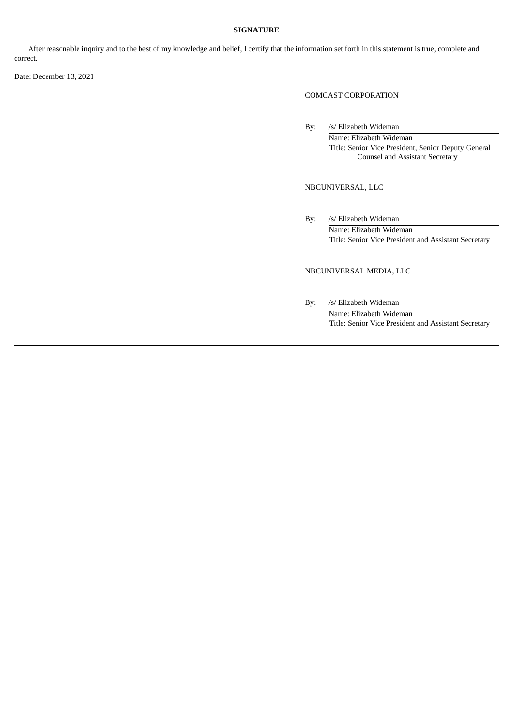# **SIGNATURE**

After reasonable inquiry and to the best of my knowledge and belief, I certify that the information set forth in this statement is true, complete and correct.

Date: December 13, 2021

# COMCAST CORPORATION

By: /s/ Elizabeth Wideman Name: Elizabeth Wideman Title: Senior Vice President, Senior Deputy General Counsel and Assistant Secretary

NBCUNIVERSAL, LLC

By: /s/ Elizabeth Wideman Name: Elizabeth Wideman Title: Senior Vice President and Assistant Secretary

# NBCUNIVERSAL MEDIA, LLC

By: /s/ Elizabeth Wideman Name: Elizabeth Wideman Title: Senior Vice President and Assistant Secretary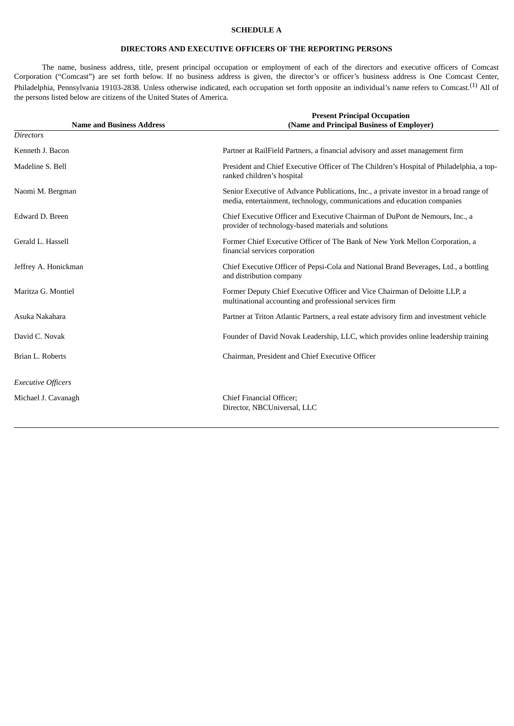# **SCHEDULE A**

# **DIRECTORS AND EXECUTIVE OFFICERS OF THE REPORTING PERSONS**

The name, business address, title, present principal occupation or employment of each of the directors and executive officers of Comcast Corporation ("Comcast") are set forth below. If no business address is given, the director's or officer's business address is One Comcast Center, Philadelphia, Pennsylvania 19103-2838. Unless otherwise indicated, each occupation set forth opposite an individual's name refers to Comcast.<sup>(1)</sup> All of the persons listed below are citizens of the United States of America.

| <b>Name and Business Address</b> | <b>Present Principal Occupation</b><br>(Name and Principal Business of Employer)                                                                                   |
|----------------------------------|--------------------------------------------------------------------------------------------------------------------------------------------------------------------|
| <b>Directors</b>                 |                                                                                                                                                                    |
| Kenneth J. Bacon                 | Partner at RailField Partners, a financial advisory and asset management firm                                                                                      |
| Madeline S. Bell                 | President and Chief Executive Officer of The Children's Hospital of Philadelphia, a top-<br>ranked children's hospital                                             |
| Naomi M. Bergman                 | Senior Executive of Advance Publications, Inc., a private investor in a broad range of<br>media, entertainment, technology, communications and education companies |
| Edward D. Breen                  | Chief Executive Officer and Executive Chairman of DuPont de Nemours, Inc., a<br>provider of technology-based materials and solutions                               |
| Gerald L. Hassell                | Former Chief Executive Officer of The Bank of New York Mellon Corporation, a<br>financial services corporation                                                     |
| Jeffrey A. Honickman             | Chief Executive Officer of Pepsi-Cola and National Brand Beverages, Ltd., a bottling<br>and distribution company                                                   |
| Maritza G. Montiel               | Former Deputy Chief Executive Officer and Vice Chairman of Deloitte LLP, a<br>multinational accounting and professional services firm                              |
| Asuka Nakahara                   | Partner at Triton Atlantic Partners, a real estate advisory firm and investment vehicle                                                                            |
| David C. Novak                   | Founder of David Novak Leadership, LLC, which provides online leadership training                                                                                  |
| Brian L. Roberts                 | Chairman, President and Chief Executive Officer                                                                                                                    |
| <b>Executive Officers</b>        |                                                                                                                                                                    |
| Michael J. Cavanagh              | Chief Financial Officer;<br>Director, NBCUniversal, LLC                                                                                                            |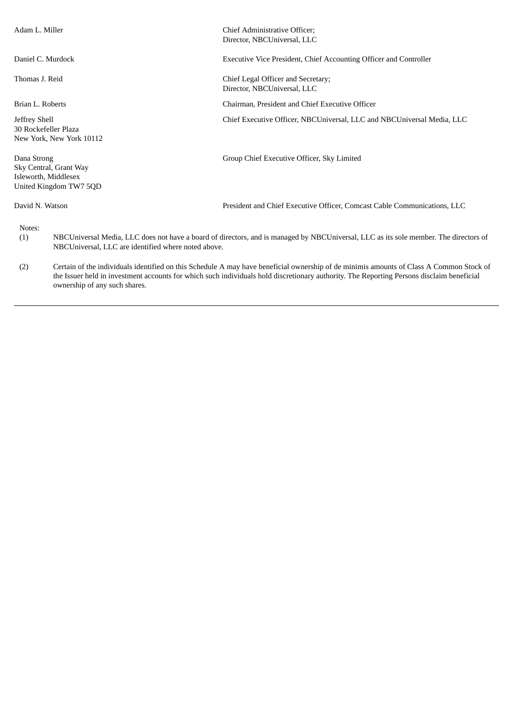| Adam L. Miller                                                                          |                                                                                                                                                                                                                                                                                                                       | Chief Administrative Officer;<br>Director, NBCUniversal, LLC                                                                         |
|-----------------------------------------------------------------------------------------|-----------------------------------------------------------------------------------------------------------------------------------------------------------------------------------------------------------------------------------------------------------------------------------------------------------------------|--------------------------------------------------------------------------------------------------------------------------------------|
| Daniel C. Murdock                                                                       |                                                                                                                                                                                                                                                                                                                       | Executive Vice President, Chief Accounting Officer and Controller                                                                    |
| Thomas J. Reid                                                                          |                                                                                                                                                                                                                                                                                                                       | Chief Legal Officer and Secretary;<br>Director, NBCUniversal, LLC                                                                    |
| Brian L. Roberts                                                                        |                                                                                                                                                                                                                                                                                                                       | Chairman, President and Chief Executive Officer                                                                                      |
| Jeffrey Shell<br>30 Rockefeller Plaza                                                   | New York, New York 10112                                                                                                                                                                                                                                                                                              | Chief Executive Officer, NBCUniversal, LLC and NBCUniversal Media, LLC                                                               |
| Dana Strong<br>Sky Central, Grant Way<br>Isleworth, Middlesex<br>United Kingdom TW7 5QD |                                                                                                                                                                                                                                                                                                                       | Group Chief Executive Officer, Sky Limited                                                                                           |
| David N. Watson                                                                         |                                                                                                                                                                                                                                                                                                                       | President and Chief Executive Officer, Comcast Cable Communications, LLC                                                             |
| Notes:<br>(1)                                                                           | NBCUniversal, LLC are identified where noted above.                                                                                                                                                                                                                                                                   | NBCUniversal Media, LLC does not have a board of directors, and is managed by NBCUniversal, LLC as its sole member. The directors of |
| (2)                                                                                     | Certain of the individuals identified on this Schedule A may have beneficial ownership of de minimis amounts of Class A Common Stock of<br>the Issuer held in investment accounts for which such individuals hold discretionary authority. The Reporting Persons disclaim beneficial<br>ownership of any such shares. |                                                                                                                                      |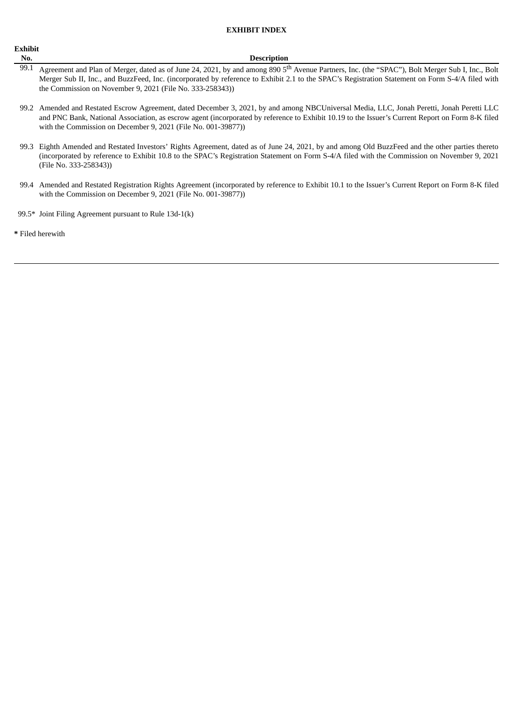#### **EXHIBIT INDEX**

# **Exhibit**

#### **No. Description**

- 99.1 Agreement and Plan of Merger, dated as of June 24, 2021, by and among 890 5<sup>th</sup> Avenue Partners, Inc. (the "SPAC"), Bolt Merger Sub I, Inc., Bolt Merger Sub II, Inc., and BuzzFeed, Inc. (incorporated by reference to Exhibit 2.1 to the SPAC's Registration Statement on Form S-4/A filed with the Commission on November 9, 2021 (File No. 333-258343))
- 99.2 Amended and Restated Escrow Agreement, dated December 3, 2021, by and among NBCUniversal Media, LLC, Jonah Peretti, Jonah Peretti LLC and PNC Bank, National Association, as escrow agent (incorporated by reference to Exhibit 10.19 to the Issuer's Current Report on Form 8-K filed with the Commission on December 9, 2021 (File No. 001-39877))
- 99.3 Eighth Amended and Restated Investors' Rights Agreement, dated as of June 24, 2021, by and among Old BuzzFeed and the other parties thereto (incorporated by reference to Exhibit 10.8 to the SPAC's Registration Statement on Form S-4/A filed with the Commission on November 9, 2021 (File No. 333-258343))
- 99.4 Amended and Restated Registration Rights Agreement (incorporated by reference to Exhibit 10.1 to the Issuer's Current Report on Form 8-K filed with the Commission on December 9, 2021 (File No. 001-39877))
- 99.5\* Joint Filing Agreement pursuant to Rule 13d-1(k)

**\*** Filed herewith